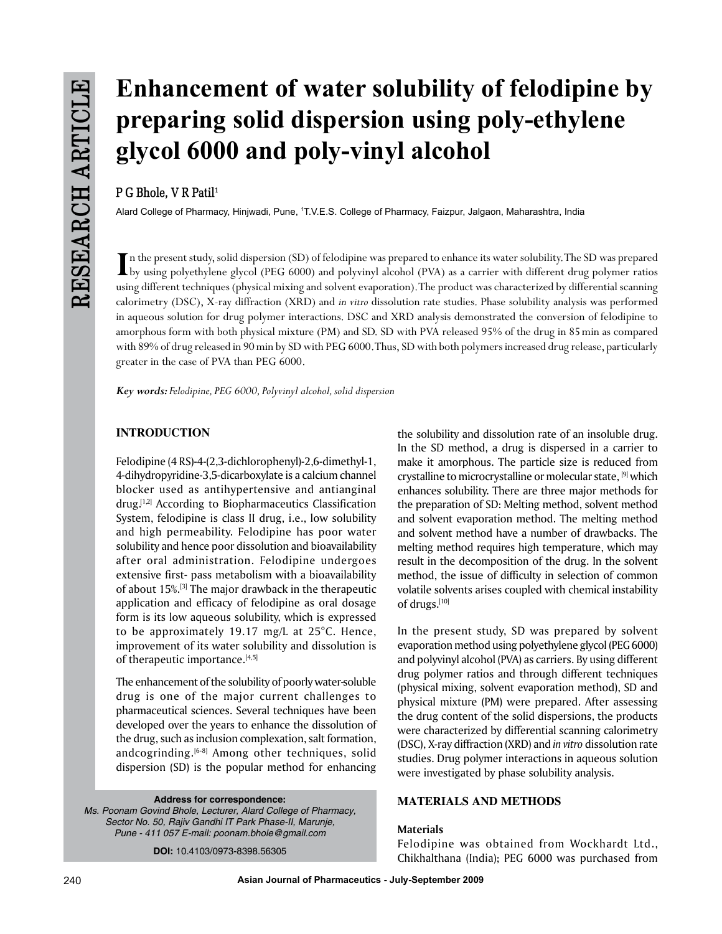# **Enhancement of water solubility of felodipine by preparing solid dispersion using poly-ethylene glycol 6000 and poly-vinyl alcohol**

# **P G Bhole, V R Patil1**

Alard College of Pharmacy, Hinjwadi, Pune, 1T.V.E.S. College of Pharmacy, Faizpur, Jalgaon, Maharashtra, India

In the present study, solid dispersion (SD) of felodipine was prepared to enhance its water solubility. The SD was prepared<br>by using polyethylene glycol (PEG 6000) and polyvinyl alcohol (PVA) as a carrier with different dr n the present study, solid dispersion (SD) of felodipine was prepared to enhance its water solubility. The SD was prepared using different techniques (physical mixing and solvent evaporation). The product was characterized by differential scanning calorimetry (DSC), X-ray diffraction (XRD) and *in vitro* dissolution rate studies. Phase solubility analysis was performed in aqueous solution for drug polymer interactions. DSC and XRD analysis demonstrated the conversion of felodipine to amorphous form with both physical mixture (PM) and SD. SD with PVA released 95% of the drug in 85min as compared with 89% of drug released in 90min by SD with PEG 6000. Thus, SD with both polymers increased drug release, particularly greater in the case of PVA than PEG 6000.

*Key words: Felodipine, PEG 6000, Polyvinyl alcohol, solid dispersion*

## **INTRODUCTION**

Felodipine (4 RS)-4-(2,3-dichlorophenyl)-2,6-dimethyl-1, 4-dihydropyridine-3,5-dicarboxylate is a calcium channel blocker used as antihypertensive and antianginal drug.[1,2] According to Biopharmaceutics Classification System, felodipine is class II drug, i.e., low solubility and high permeability. Felodipine has poor water solubility and hence poor dissolution and bioavailability after oral administration. Felodipine undergoes extensive first- pass metabolism with a bioavailability of about 15%.[3] The major drawback in the therapeutic application and efficacy of felodipine as oral dosage form is its low aqueous solubility, which is expressed to be approximately 19.17 mg/L at 25°C. Hence, improvement of its water solubility and dissolution is of therapeutic importance.<sup>[4,5]</sup>

The enhancement of the solubility of poorly water-soluble drug is one of the major current challenges to pharmaceutical sciences. Several techniques have been developed over the years to enhance the dissolution of the drug, such as inclusion complexation, salt formation, andcogrinding.<sup>[6-8]</sup> Among other techniques, solid dispersion (SD) is the popular method for enhancing

#### **Address for correspondence:**

*Ms. Poonam Govind Bhole, Lecturer, Alard College of Pharmacy, Sector No. 50, Rajiv Gandhi IT Park Phase-II, Marunje, Pune - 411 057 E-mail: poonam.bhole@gmail.com*

**DOI:** 10.4103/0973-8398.56305

the solubility and dissolution rate of an insoluble drug. In the SD method, a drug is dispersed in a carrier to make it amorphous. The particle size is reduced from crystalline to microcrystalline or molecular state, [9] which enhances solubility. There are three major methods for the preparation of SD: Melting method, solvent method and solvent evaporation method. The melting method and solvent method have a number of drawbacks. The melting method requires high temperature, which may result in the decomposition of the drug. In the solvent method, the issue of difficulty in selection of common volatile solvents arises coupled with chemical instability of drugs.[10]

In the present study, SD was prepared by solvent evaporation method using polyethylene glycol (PEG 6000) and polyvinyl alcohol (PVA) as carriers. By using different drug polymer ratios and through different techniques (physical mixing, solvent evaporation method), SD and physical mixture (PM) were prepared. After assessing the drug content of the solid dispersions, the products were characterized by differential scanning calorimetry (DSC), X-ray diffraction (XRD) and *in vitro* dissolution rate studies. Drug polymer interactions in aqueous solution were investigated by phase solubility analysis.

## **MATERIALS AND METHODS**

#### **Materials**

Felodipine was obtained from Wockhardt Ltd., Chikhalthana (India); PEG 6000 was purchased from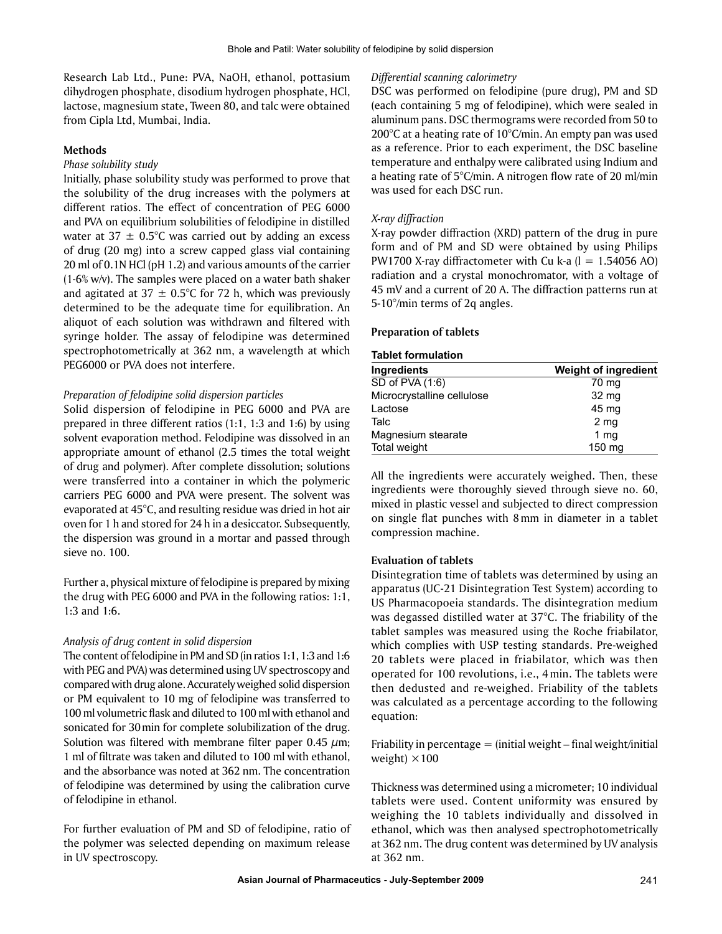Research Lab Ltd., Pune: PVA, NaOH, ethanol, pottasium dihydrogen phosphate, disodium hydrogen phosphate, HCl, lactose, magnesium state, Tween 80, and talc were obtained from Cipla Ltd, Mumbai, India.

#### **Methods**

#### *Phase solubility study*

Initially, phase solubility study was performed to prove that the solubility of the drug increases with the polymers at different ratios. The effect of concentration of PEG 6000 and PVA on equilibrium solubilities of felodipine in distilled water at  $37 \pm 0.5^{\circ}$ C was carried out by adding an excess of drug (20 mg) into a screw capped glass vial containing 20 ml of 0.1N HCl (pH 1.2) and various amounts of the carrier (1-6% w/v). The samples were placed on a water bath shaker and agitated at 37  $\pm$  0.5°C for 72 h, which was previously determined to be the adequate time for equilibration. An aliquot of each solution was withdrawn and filtered with syringe holder. The assay of felodipine was determined spectrophotometrically at 362 nm, a wavelength at which PEG6000 or PVA does not interfere.

#### *Preparation of felodipine solid dispersion particles*

Solid dispersion of felodipine in PEG 6000 and PVA are prepared in three different ratios (1:1, 1:3 and 1:6) by using solvent evaporation method. Felodipine was dissolved in an appropriate amount of ethanol (2.5 times the total weight of drug and polymer). After complete dissolution; solutions were transferred into a container in which the polymeric carriers PEG 6000 and PVA were present. The solvent was evaporated at 45°C, and resulting residue was dried in hot air oven for 1 h and stored for 24 h in a desiccator. Subsequently, the dispersion was ground in a mortar and passed through sieve no. 100.

Further a, physical mixture of felodipine is prepared by mixing the drug with PEG 6000 and PVA in the following ratios: 1:1, 1:3 and 1:6.

#### *Analysis of drug content in solid dispersion*

The content of felodipine in PM and SD (in ratios 1:1, 1:3 and 1:6 with PEG and PVA) was determined using UV spectroscopy and compared with drug alone. Accurately weighed solid dispersion or PM equivalent to 10 mg of felodipine was transferred to 100 ml volumetric flask and diluted to 100 ml with ethanol and sonicated for 30min for complete solubilization of the drug. Solution was filtered with membrane filter paper  $0.45 \mu m$ ; 1 ml of filtrate was taken and diluted to 100 ml with ethanol, and the absorbance was noted at 362 nm. The concentration of felodipine was determined by using the calibration curve of felodipine in ethanol.

For further evaluation of PM and SD of felodipine, ratio of the polymer was selected depending on maximum release in UV spectroscopy.

#### *Differential scanning calorimetry*

DSC was performed on felodipine (pure drug), PM and SD (each containing 5 mg of felodipine), which were sealed in aluminum pans. DSC thermograms were recorded from 50 to 200°C at a heating rate of 10°C/min. An empty pan was used as a reference. Prior to each experiment, the DSC baseline temperature and enthalpy were calibrated using Indium and a heating rate of 5°C/min. A nitrogen flow rate of 20 ml/min was used for each DSC run.

#### *X-ray diffraction*

X-ray powder diffraction (XRD) pattern of the drug in pure form and of PM and SD were obtained by using Philips PW1700 X-ray diffractometer with Cu k-a  $(l = 1.54056$  AO) radiation and a crystal monochromator, with a voltage of 45 mV and a current of 20 A. The diffraction patterns run at 5-10°/min terms of 2q angles.

#### **Preparation of tablets**

#### **Tablet formulation**

| Ingredients                | <b>Weight of ingredient</b> |
|----------------------------|-----------------------------|
| $SD$ of PVA $(1:6)$        | 70 mg                       |
| Microcrystalline cellulose | 32 mg                       |
| Lactose                    | 45 mg                       |
| Talc                       | 2 <sub>mg</sub>             |
| Magnesium stearate         | 1 <sub>mg</sub>             |
| Total weight               | 150 mg                      |

All the ingredients were accurately weighed. Then, these ingredients were thoroughly sieved through sieve no. 60, mixed in plastic vessel and subjected to direct compression on single flat punches with 8mm in diameter in a tablet compression machine.

#### **Evaluation of tablets**

Disintegration time of tablets was determined by using an apparatus (UC-21 Disintegration Test System) according to US Pharmacopoeia standards. The disintegration medium was degassed distilled water at 37°C. The friability of the tablet samples was measured using the Roche friabilator, which complies with USP testing standards. Pre-weighed 20 tablets were placed in friabilator, which was then operated for 100 revolutions, i.e., 4min. The tablets were then dedusted and re-weighed. Friability of the tablets was calculated as a percentage according to the following equation:

Friability in percentage  $=$  (initial weight – final weight/initial weight)  $\times$ 100

Thickness was determined using a micrometer; 10 individual tablets were used. Content uniformity was ensured by weighing the 10 tablets individually and dissolved in ethanol, which was then analysed spectrophotometrically at 362 nm. The drug content was determined by UV analysis at 362 nm.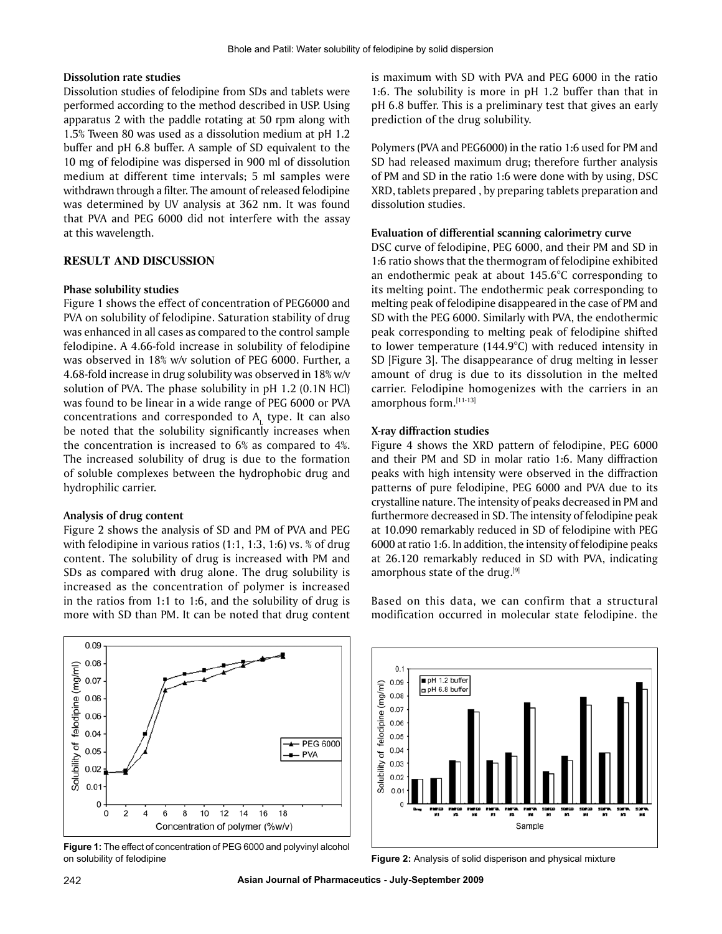#### **Dissolution rate studies**

Dissolution studies of felodipine from SDs and tablets were performed according to the method described in USP. Using apparatus 2 with the paddle rotating at 50 rpm along with 1.5% Tween 80 was used as a dissolution medium at pH 1.2 buffer and pH 6.8 buffer. A sample of SD equivalent to the 10 mg of felodipine was dispersed in 900 ml of dissolution medium at different time intervals; 5 ml samples were withdrawn through a filter. The amount of released felodipine was determined by UV analysis at 362 nm. It was found that PVA and PEG 6000 did not interfere with the assay at this wavelength.

#### **RESULT AND DISCUSSION**

#### **Phase solubility studies**

Figure 1 shows the effect of concentration of PEG6000 and PVA on solubility of felodipine. Saturation stability of drug was enhanced in all cases as compared to the control sample felodipine. A 4.66-fold increase in solubility of felodipine was observed in 18% w/v solution of PEG 6000. Further, a 4.68-fold increase in drug solubility was observed in 18% w/v solution of PVA. The phase solubility in pH 1.2 (0.1N HCl) was found to be linear in a wide range of PEG 6000 or PVA concentrations and corresponded to  $A<sub>L</sub>$  type. It can also be noted that the solubility significantly increases when the concentration is increased to 6% as compared to 4%. The increased solubility of drug is due to the formation of soluble complexes between the hydrophobic drug and hydrophilic carrier.

#### **Analysis of drug content**

Figure 2 shows the analysis of SD and PM of PVA and PEG with felodipine in various ratios (1:1, 1:3, 1:6) vs. % of drug content. The solubility of drug is increased with PM and SDs as compared with drug alone. The drug solubility is increased as the concentration of polymer is increased in the ratios from 1:1 to 1:6, and the solubility of drug is more with SD than PM. It can be noted that drug content is maximum with SD with PVA and PEG 6000 in the ratio 1:6. The solubility is more in pH 1.2 buffer than that in pH 6.8 buffer. This is a preliminary test that gives an early prediction of the drug solubility.

Polymers (PVA and PEG6000) in the ratio 1:6 used for PM and SD had released maximum drug; therefore further analysis of PM and SD in the ratio 1:6 were done with by using, DSC XRD, tablets prepared , by preparing tablets preparation and dissolution studies.

#### **Evaluation of differential scanning calorimetry curve**

DSC curve of felodipine, PEG 6000, and their PM and SD in 1:6 ratio shows that the thermogram of felodipine exhibited an endothermic peak at about 145.6°C corresponding to its melting point. The endothermic peak corresponding to melting peak of felodipine disappeared in the case of PM and SD with the PEG 6000. Similarly with PVA, the endothermic peak corresponding to melting peak of felodipine shifted to lower temperature (144.9°C) with reduced intensity in SD [Figure 3]. The disappearance of drug melting in lesser amount of drug is due to its dissolution in the melted carrier. Felodipine homogenizes with the carriers in an amorphous form.[11-13]

#### **X-ray diffraction studies**

Figure 4 shows the XRD pattern of felodipine, PEG 6000 and their PM and SD in molar ratio 1:6. Many diffraction peaks with high intensity were observed in the diffraction patterns of pure felodipine, PEG 6000 and PVA due to its crystalline nature. The intensity of peaks decreased in PM and furthermore decreased in SD. The intensity of felodipine peak at 10.090 remarkably reduced in SD of felodipine with PEG 6000 at ratio 1:6. In addition, the intensity of felodipine peaks at 26.120 remarkably reduced in SD with PVA, indicating amorphous state of the drug.<sup>[9]</sup>



**Figure 1:** The effect of concentration of PEG 6000 and polyvinyl alcohol on solubility of felodipine **Figure 2:** Analysis of solid disperison and physical mixture

Based on this data, we can confirm that a structural modification occurred in molecular state felodipine. the

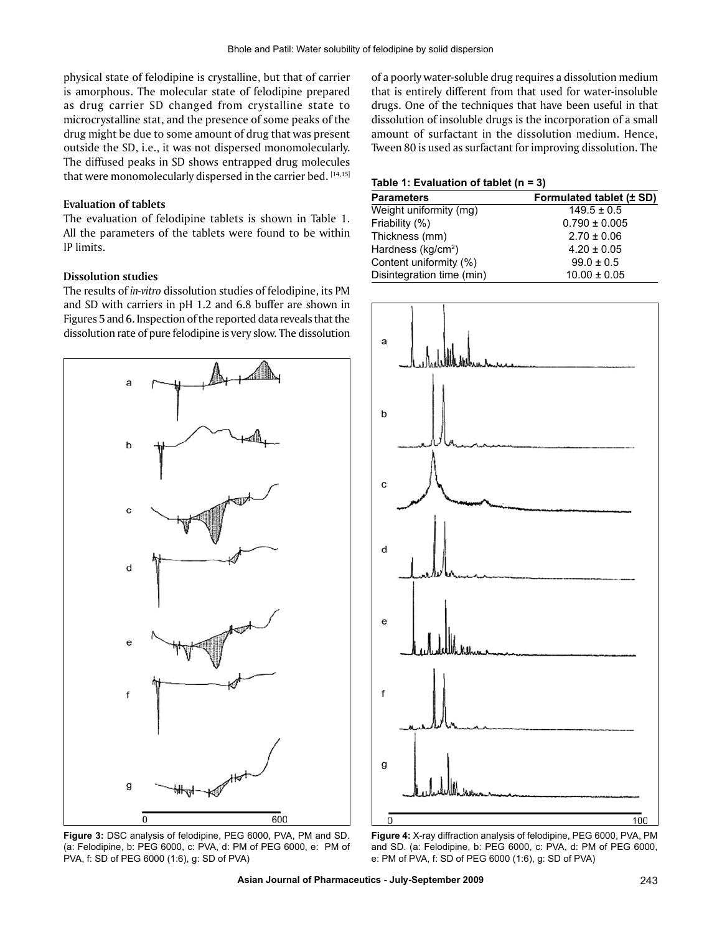physical state of felodipine is crystalline, but that of carrier is amorphous. The molecular state of felodipine prepared as drug carrier SD changed from crystalline state to microcrystalline stat, and the presence of some peaks of the drug might be due to some amount of drug that was present outside the SD, i.e., it was not dispersed monomolecularly. The diffused peaks in SD shows entrapped drug molecules that were monomolecularly dispersed in the carrier bed.  $[14,15]$ 

#### **Evaluation of tablets**

The evaluation of felodipine tablets is shown in Table 1. All the parameters of the tablets were found to be within IP limits.

#### **Dissolution studies**

The results of *in-vitro* dissolution studies of felodipine, its PM and SD with carriers in pH 1.2 and 6.8 buffer are shown in Figures 5 and 6. Inspection of the reported data reveals that the dissolution rate of pure felodipine is very slow. The dissolution



**Figure 3:** DSC analysis of felodipine, PEG 6000, PVA, PM and SD. (a: Felodipine, b: PEG 6000, c: PVA, d: PM of PEG 6000, e: PM of PVA, f: SD of PEG 6000 (1:6), g: SD of PVA)

of a poorly water-soluble drug requires a dissolution medium that is entirely different from that used for water-insoluble drugs. One of the techniques that have been useful in that dissolution of insoluble drugs is the incorporation of a small amount of surfactant in the dissolution medium. Hence, Tween 80 is used as surfactant for improving dissolution. The

#### **Table 1: Evaluation of tablet (n = 3)**

| <b>Parameters</b>              | Formulated tablet (± SD) |
|--------------------------------|--------------------------|
| Weight uniformity (mg)         | $149.5 \pm 0.5$          |
| Friability (%)                 | $0.790 \pm 0.005$        |
| Thickness (mm)                 | $2.70 \pm 0.06$          |
| Hardness (kg/cm <sup>2</sup> ) | $4.20 \pm 0.05$          |
| Content uniformity (%)         | $99.0 \pm 0.5$           |
| Disintegration time (min)      | $10.00 \pm 0.05$         |
|                                |                          |



**Figure 4:** X-ray diffraction analysis of felodipine, PEG 6000, PVA, PM and SD. (a: Felodipine, b: PEG 6000, c: PVA, d: PM of PEG 6000, e: PM of PVA, f: SD of PEG 6000 (1:6), g: SD of PVA)